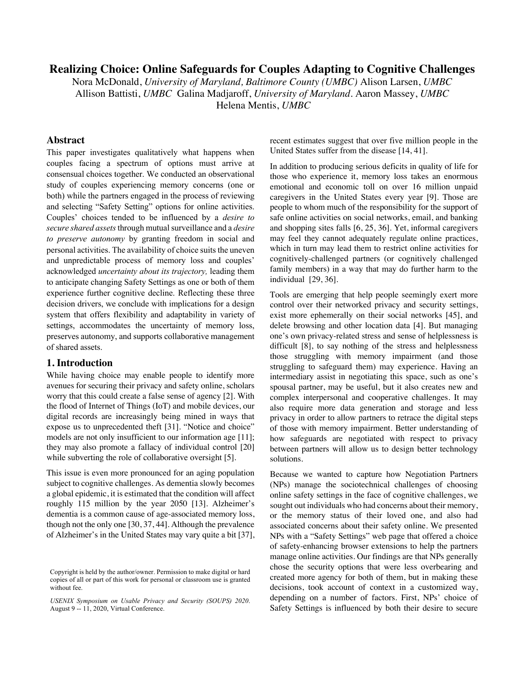# **Realizing Choice: Online Safeguards for Couples Adapting to Cognitive Challenges**

Nora McDonald, *University of Maryland, Baltimore County (UMBC)* Alison Larsen, *UMBC* Allison Battisti, *UMBC* Galina Madjaroff, *University of Maryland.* Aaron Massey, *UMBC* 

Helena Mentis, *UMBC* 

# **Abstract**

This paper investigates qualitatively what happens when couples facing a spectrum of options must arrive at consensual choices together. We conducted an observational study of couples experiencing memory concerns (one or both) while the partners engaged in the process of reviewing and selecting "Safety Setting" options for online activities. Couples' choices tended to be influenced by a *desire to secure shared assets*through mutual surveillance and a *desire to preserve autonomy* by granting freedom in social and personal activities. The availability of choice suits the uneven and unpredictable process of memory loss and couples' acknowledged *uncertainty about its trajectory,* leading them to anticipate changing Safety Settings as one or both of them experience further cognitive decline. Reflecting these three decision drivers, we conclude with implications for a design system that offers flexibility and adaptability in variety of settings, accommodates the uncertainty of memory loss, preserves autonomy, and supports collaborative management of shared assets.

## **1. Introduction**

While having choice may enable people to identify more avenues for securing their privacy and safety online, scholars worry that this could create a false sense of agency [2]. With the flood of Internet of Things (IoT) and mobile devices, our digital records are increasingly being mined in ways that expose us to unprecedented theft [31]. "Notice and choice" models are not only insufficient to our information age [11]; they may also promote a fallacy of individual control [20] while subverting the role of collaborative oversight [5].

This issue is even more pronounced for an aging population subject to cognitive challenges. As dementia slowly becomes a global epidemic, it is estimated that the condition will affect roughly 115 million by the year 2050 [13]. Alzheimer's dementia is a common cause of age-associated memory loss, though not the only one [30, 37, 44]. Although the prevalence of Alzheimer's in the United States may vary quite a bit [37], recent estimates suggest that over five million people in the United States suffer from the disease [14, 41].

In addition to producing serious deficits in quality of life for those who experience it, memory loss takes an enormous emotional and economic toll on over 16 million unpaid caregivers in the United States every year [9]. Those are people to whom much of the responsibility for the support of safe online activities on social networks, email, and banking and shopping sites falls [6, 25, 36]. Yet, informal caregivers may feel they cannot adequately regulate online practices, which in turn may lead them to restrict online activities for cognitively-challenged partners (or cognitively challenged family members) in a way that may do further harm to the individual [29, 36].

Tools are emerging that help people seemingly exert more control over their networked privacy and security settings, exist more ephemerally on their social networks [45], and delete browsing and other location data [4]. But managing one's own privacy-related stress and sense of helplessness is difficult [8], to say nothing of the stress and helplessness those struggling with memory impairment (and those struggling to safeguard them) may experience. Having an intermediary assist in negotiating this space, such as one's spousal partner, may be useful, but it also creates new and complex interpersonal and cooperative challenges. It may also require more data generation and storage and less privacy in order to allow partners to retrace the digital steps of those with memory impairment. Better understanding of how safeguards are negotiated with respect to privacy between partners will allow us to design better technology solutions.

Because we wanted to capture how Negotiation Partners (NPs) manage the sociotechnical challenges of choosing online safety settings in the face of cognitive challenges, we sought out individuals who had concerns about their memory, or the memory status of their loved one, and also had associated concerns about their safety online. We presented NPs with a "Safety Settings" web page that offered a choice of safety-enhancing browser extensions to help the partners manage online activities. Our findings are that NPs generally chose the security options that were less overbearing and created more agency for both of them, but in making these decisions, took account of context in a customized way, depending on a number of factors. First, NPs' choice of Safety Settings is influenced by both their desire to secure

Copyright is held by the author/owner. Permission to make digital or hard copies of all or part of this work for personal or classroom use is granted without fee.

*USENIX Symposium on Usable Privacy and Security (SOUPS) 2020*. August 9 -- 11, 2020, Virtual Conference.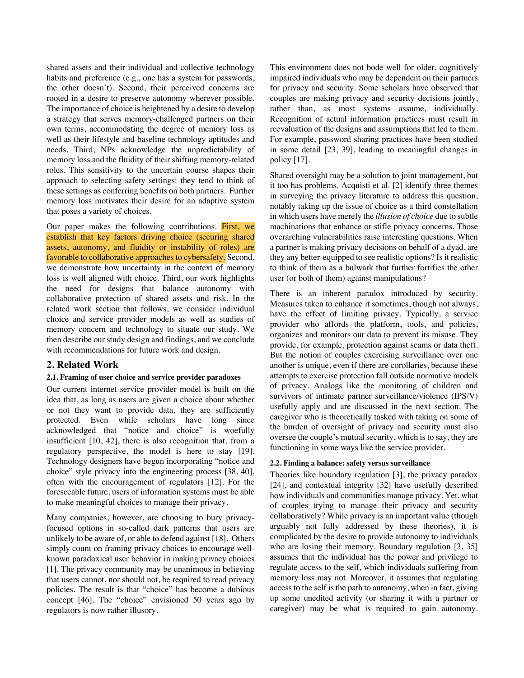shared assets and their individual and collective technology habits and preference (e.g., one has a system for passwords, the other doesn't). Second, their perceived concerns are rooted in a desire to preserve autonomy wherever possible. The importance of choice is heightened by a desire to develop a strategy that serves memory-challenged partners on their own terms, accommodating the degree of memory loss as well as their lifestyle and baseline technology aptitudes and needs. Third, NPs acknowledge the unpredictability of memory loss and the fluidity of their shifting memory-related roles. This sensitivity to the uncertain course shapes their approach to selecting safety settings: they tend to think of these settings as conferring benefits on both partners. Further memory loss motivates their desire for an adaptive system that poses a variety of choices.

Our paper makes the following contributions. First, we establish that key factors driving choice (securing shared assets, autonomy, and fluidity or instability of roles) are favorable to collaborative approaches to cybersafety. Second, we demonstrate how uncertainty in the context of memory loss is well aligned with choice. Third, our work highlights the need for designs that balance autonomy with collaborative protection of shared assets and risk. In the related work section that follows, we consider individual choice and service provider models as well as studies of memory concern and technology to situate our study. We then describe our study design and findings, and we conclude with recommendations for future work and design.

# **2. Related Work**

#### **2.1. Framing of user choice and service provider paradoxes**

Our current internet service provider model is built on the idea that, as long as users are given a choice about whether or not they want to provide data, they are sufficiently protected. Even while scholars have long since acknowledged that "notice and choice" is woefully insufficient [10, 42], there is also recognition that, from a regulatory perspective, the model is here to stay [19]. Technology designers have begun incorporating "notice and choice" style privacy into the engineering process [38, 40], often with the encouragement of regulators [12]. For the foreseeable future, users of information systems must be able to make meaningful choices to manage their privacy.

Many companies, however, are choosing to bury privacyfocused options in so-called dark patterns that users are unlikely to be aware of, or able to defend against [18]. Others simply count on framing privacy choices to encourage wellknown paradoxical user behavior in making privacy choices [1]. The privacy community may be unanimous in believing that users cannot, nor should not, be required to read privacy policies. The result is that "choice" has become a dubious concept [46]. The "choice" envisioned 50 years ago by regulators is now rather illusory.

This environment does not bode well for older, cognitively impaired individuals who may be dependent on their partners for privacy and security. Some scholars have observed that couples are making privacy and security decisions jointly, rather than, as most systems assume, individually. Recognition of actual information practices must result in reevaluation of the designs and assumptions that led to them. For example, password sharing practices have been studied in some detail [23, 39], leading to meaningful changes in policy [17].

Shared oversight may be a solution to joint management, but it too has problems. Acquisti et al. [2] identify three themes in surveying the privacy literature to address this question, notably taking up the issue of choice as a third constellation in which users have merely the *illusion of choice* due to subtle machinations that enhance or stifle privacy concerns. Those overarching vulnerabilities raise interesting questions. When a partner is making privacy decisions on behalf of a dyad, are they any better-equipped to see realistic options? Is it realistic to think of them as a bulwark that further fortifies the other user (or both of them) against manipulations?

There is an inherent paradox introduced by security. Measures taken to enhance it sometimes, though not always, have the effect of limiting privacy. Typically, a service provider who affords the platform, tools, and policies, organizes and monitors our data to prevent its misuse. They provide, for example, protection against scams or data theft. But the notion of couples exercising surveillance over one another is unique, even if there are corollaries, because these attempts to exercise protection fall outside normative models of privacy. Analogs like the monitoring of children and survivors of intimate partner surveillance/violence (IPS/V) usefully apply and are discussed in the next section. The caregiver who is theoretically tasked with taking on some of the burden of oversight of privacy and security must also oversee the couple's mutual security, which is to say, they are functioning in some ways like the service provider.

#### **2.2. Finding a balance: safety versus surveillance**

Theories like boundary regulation [3], the privacy paradox [24], and contextual integrity [32] have usefully described how individuals and communities manage privacy. Yet, what of couples trying to manage their privacy and security collaboratively? While privacy is an important value (though arguably not fully addressed by these theories), it is complicated by the desire to provide autonomy to individuals who are losing their memory. Boundary regulation [3, 35] assumes that the individual has the power and privilege to regulate access to the self, which individuals suffering from memory loss may not. Moreover, it assumes that regulating access to the self is the path to autonomy, when in fact, giving up some unedited activity (or sharing it with a partner or caregiver) may be what is required to gain autonomy.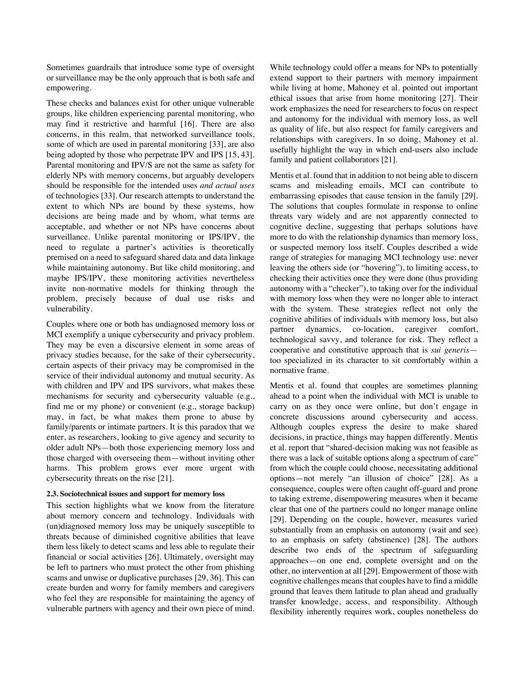Sometimes guardrails that introduce some type of oversight or surveillance may be the only approach that is both safe and empowering.

These checks and balances exist for other unique vulnerable groups, like children experiencing parental monitoring, who may find it restrictive and harmful [16]. There are also concerns, in this realm, that networked surveillance tools, some of which are used in parental monitoring [33], are also being adopted by those who perpetrate IPV and IPS [15, 43]. Parental monitoring and IPV/S are not the same as safety for elderly NPs with memory concerns, but arguably developers should be responsible for the intended uses *and actual uses* of technologies [33]. Our research attempts to understand the extent to which NPs are bound by these systems, how decisions are being made and by whom, what terms are acceptable, and whether or not NPs have concerns about surveillance. Unlike parental monitoring or IPS/IPV, the need to regulate a partner's activities is theoretically premised on a need to safeguard shared data and data linkage while maintaining autonomy. But like child monitoring, and maybe IPS/IPV, these monitoring activities nevertheless invite non-normative models for thinking through the problem, precisely because of dual use risks and vulnerability.

Couples where one or both has undiagnosed memory loss or MCI exemplify a unique cybersecurity and privacy problem. They may be even a discursive element in some areas of privacy studies because, for the sake of their cybersecurity, certain aspects of their privacy may be compromised in the service of their individual autonomy and mutual security. As with children and IPV and IPS survivors, what makes these mechanisms for security and cybersecurity valuable (e.g., find me or my phone) or convenient (e.g., storage backup) may, in fact, be what makes them prone to abuse by family/parents or intimate partners. It is this paradox that we enter, as researchers, looking to give agency and security to older adult NPs—both those experiencing memory loss and those charged with overseeing them—without inviting other harms. This problem grows ever more urgent with cybersecurity threats on the rise [21].

#### **2.3. Sociotechnical issues and support for memory loss**

This section highlights what we know from the literature about memory concern and technology. Individuals with (un)diagnosed memory loss may be uniquely susceptible to threats because of diminished cognitive abilities that leave them less likely to detect scams and less able to regulate their financial or social activities [26]. Ultimately, oversight may be left to partners who must protect the other from phishing scams and unwise or duplicative purchases [29, 36]. This can create burden and worry for family members and caregivers who feel they are responsible for maintaining the agency of vulnerable partners with agency and their own piece of mind.

While technology could offer a means for NPs to potentially extend support to their partners with memory impairment while living at home, Mahoney et al. pointed out important ethical issues that arise from home monitoring [27]. Their work emphasizes the need for researchers to focus on respect and autonomy for the individual with memory loss, as well as quality of life, but also respect for family caregivers and relationships with caregivers. In so doing, Mahoney et al. usefully highlight the way in which end-users also include family and patient collaborators [21].

Mentis et al. found that in addition to not being able to discern scams and misleading emails, MCI can contribute to embarrassing episodes that cause tension in the family [29]. The solutions that couples formulate in response to online threats vary widely and are not apparently connected to cognitive decline, suggesting that perhaps solutions have more to do with the relationship dynamics than memory loss, or suspected memory loss itself. Couples described a wide range of strategies for managing MCI technology use: never leaving the others side (or "hovering"), to limiting access, to checking their activities once they were done (thus providing autonomy with a "checker"), to taking over for the individual with memory loss when they were no longer able to interact with the system. These strategies reflect not only the cognitive abilities of individuals with memory loss, but also partner dynamics, co-location, caregiver comfort, technological savvy, and tolerance for risk. They reflect a cooperative and constitutive approach that is *sui generis* too specialized in its character to sit comfortably within a normative frame.

Mentis et al. found that couples are sometimes planning ahead to a point when the individual with MCI is unable to carry on as they once were online, but don't engage in concrete discussions around cybersecurity and access. Although couples express the desire to make shared decisions, in practice, things may happen differently. Mentis et al. report that "shared-decision making was not feasible as there was a lack of suitable options along a spectrum of care" from which the couple could choose, necessitating additional options—not merely "an illusion of choice" [28]. As a consequence, couples were often caught off-guard and prone to taking extreme, disempowering measures when it became clear that one of the partners could no longer manage online [29]. Depending on the couple, however, measures varied substantially from an emphasis on autonomy (wait and see) to an emphasis on safety (abstinence) [28]. The authors describe two ends of the spectrum of safeguarding approaches—on one end, complete oversight and on the other, no intervention at all [29]. Empowerment of those with cognitive challenges meansthat couples have to find a middle ground that leaves them latitude to plan ahead and gradually transfer knowledge, access, and responsibility. Although flexibility inherently requires work, couples nonetheless do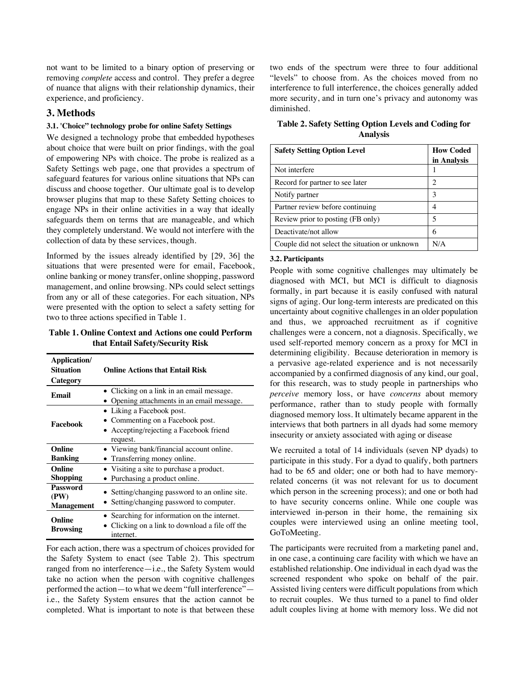not want to be limited to a binary option of preserving or removing *complete* access and control. They prefer a degree of nuance that aligns with their relationship dynamics, their experience, and proficiency.

# **3. Methods**

## **3.1. 'Choice" technology probe for online Safety Settings**

We designed a technology probe that embedded hypotheses about choice that were built on prior findings, with the goal of empowering NPs with choice. The probe is realized as a Safety Settings web page, one that provides a spectrum of safeguard features for various online situations that NPs can discuss and choose together. Our ultimate goal is to develop browser plugins that map to these Safety Setting choices to engage NPs in their online activities in a way that ideally safeguards them on terms that are manageable, and which they completely understand. We would not interfere with the collection of data by these services, though.

Informed by the issues already identified by [29, 36] the situations that were presented were for email, Facebook, online banking or money transfer, online shopping, password management, and online browsing. NPs could select settings from any or all of these categories. For each situation, NPs were presented with the option to select a safety setting for two to three actions specified in Table 1.

**Table 1. Online Context and Actions one could Perform that Entail Safety/Security Risk**

| Application/<br><b>Situation</b><br>Category | <b>Online Actions that Entail Risk</b>                                                                               |  |  |  |  |  |
|----------------------------------------------|----------------------------------------------------------------------------------------------------------------------|--|--|--|--|--|
| Email                                        | • Clicking on a link in an email message.<br>Opening attachments in an email message.                                |  |  |  |  |  |
| Facebook                                     | • Liking a Facebook post.<br>• Commenting on a Facebook post.<br>• Accepting/rejecting a Facebook friend<br>request. |  |  |  |  |  |
| Online<br><b>Banking</b>                     | • Viewing bank/financial account online.<br>• Transferring money online.                                             |  |  |  |  |  |
| Online<br><b>Shopping</b>                    | • Visiting a site to purchase a product.<br>• Purchasing a product online.                                           |  |  |  |  |  |
| <b>Password</b><br>(PW)<br><b>Management</b> | • Setting/changing password to an online site.<br>• Setting/changing password to computer.                           |  |  |  |  |  |
| Online<br><b>Browsing</b>                    | • Searching for information on the internet.<br>Clicking on a link to download a file off the<br>internet.           |  |  |  |  |  |

For each action, there was a spectrum of choices provided for the Safety System to enact (see Table 2). This spectrum ranged from no interference—i.e., the Safety System would take no action when the person with cognitive challenges performed the action—to what we deem "full interference" i.e., the Safety System ensures that the action cannot be completed. What is important to note is that between these two ends of the spectrum were three to four additional "levels" to choose from. As the choices moved from no interference to full interference, the choices generally added more security, and in turn one's privacy and autonomy was diminished.

**Table 2. Safety Setting Option Levels and Coding for Analysis**

| <b>Safety Setting Option Level</b>             | <b>How Coded</b> |  |
|------------------------------------------------|------------------|--|
|                                                | in Analysis      |  |
| Not interfere                                  |                  |  |
| Record for partner to see later                | 2                |  |
| Notify partner                                 | 3                |  |
| Partner review before continuing               |                  |  |
| Review prior to posting (FB only)              | 5                |  |
| Deactivate/not allow                           | 6                |  |
| Couple did not select the situation or unknown | N/A              |  |

#### **3.2. Participants**

People with some cognitive challenges may ultimately be diagnosed with MCI, but MCI is difficult to diagnosis formally, in part because it is easily confused with natural signs of aging. Our long-term interests are predicated on this uncertainty about cognitive challenges in an older population and thus, we approached recruitment as if cognitive challenges were a concern, not a diagnosis. Specifically, we used self-reported memory concern as a proxy for MCI in determining eligibility. Because deterioration in memory is a pervasive age-related experience and is not necessarily accompanied by a confirmed diagnosis of any kind, our goal, for this research, was to study people in partnerships who *perceive* memory loss, or have *concerns* about memory performance, rather than to study people with formally diagnosed memory loss. It ultimately became apparent in the interviews that both partners in all dyads had some memory insecurity or anxiety associated with aging or disease

We recruited a total of 14 individuals (seven NP dyads) to participate in this study. For a dyad to qualify, both partners had to be 65 and older; one or both had to have memoryrelated concerns (it was not relevant for us to document which person in the screening process); and one or both had to have security concerns online. While one couple was interviewed in-person in their home, the remaining six couples were interviewed using an online meeting tool, GoToMeeting.

The participants were recruited from a marketing panel and, in one case, a continuing care facility with which we have an established relationship. One individual in each dyad was the screened respondent who spoke on behalf of the pair. Assisted living centers were difficult populations from which to recruit couples. We thus turned to a panel to find older adult couples living at home with memory loss. We did not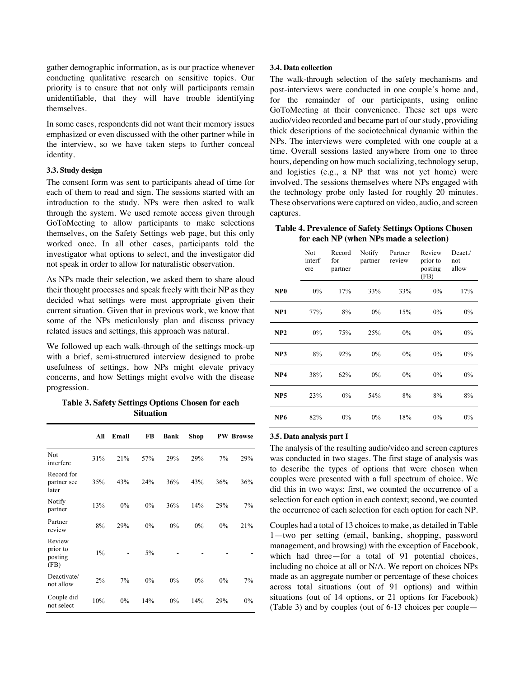gather demographic information, as is our practice whenever conducting qualitative research on sensitive topics. Our priority is to ensure that not only will participants remain unidentifiable, that they will have trouble identifying themselves.

In some cases, respondents did not want their memory issues emphasized or even discussed with the other partner while in the interview, so we have taken steps to further conceal identity.

### **3.3. Study design**

The consent form was sent to participants ahead of time for each of them to read and sign. The sessions started with an introduction to the study. NPs were then asked to walk through the system. We used remote access given through GoToMeeting to allow participants to make selections themselves, on the Safety Settings web page, but this only worked once. In all other cases, participants told the investigator what options to select, and the investigator did not speak in order to allow for naturalistic observation.

As NPs made their selection, we asked them to share aloud their thought processes and speak freely with their NP as they decided what settings were most appropriate given their current situation. Given that in previous work, we know that some of the NPs meticulously plan and discuss privacy related issues and settings, this approach was natural.

We followed up each walk-through of the settings mock-up with a brief, semi-structured interview designed to probe usefulness of settings, how NPs might elevate privacy concerns, and how Settings might evolve with the disease progression.

**Table 3. Safety Settings Options Chosen for each Situation** 

|                                       | All   | Email | FB    | Bank  | Shop |     | <b>PW Browse</b> |
|---------------------------------------|-------|-------|-------|-------|------|-----|------------------|
| Not<br>interfere                      | 31%   | 21%   | 57%   | 29%   | 29%  | 7%  | 29%              |
| Record for<br>partner see<br>later    | 35%   | 43%   | 24%   | 36%   | 43%  | 36% | 36%              |
| Notify<br>partner                     | 13%   | 0%    | $0\%$ | 36%   | 14%  | 29% | $7\%$            |
| Partner<br>review                     | 8%    | 29%   | $0\%$ | 0%    | 0%   | 0%  | 21%              |
| Review<br>prior to<br>posting<br>(FB) | $1\%$ |       | $5\%$ |       |      |     |                  |
| Deactivate/<br>not allow              | $2\%$ | 7%    | $0\%$ | 0%    | 0%   | 0%  | 7%               |
| Couple did<br>not select              | 10%   | $0\%$ | 14%   | $0\%$ | 14%  | 29% | $0\%$            |

### **3.4. Data collection**

The walk-through selection of the safety mechanisms and post-interviews were conducted in one couple's home and, for the remainder of our participants, using online GoToMeeting at their convenience. These set ups were audio/video recorded and became part of our study, providing thick descriptions of the sociotechnical dynamic within the NPs. The interviews were completed with one couple at a time. Overall sessions lasted anywhere from one to three hours, depending on how much socializing, technology setup, and logistics (e.g., a NP that was not yet home) were involved. The sessions themselves where NPs engaged with the technology probe only lasted for roughly 20 minutes. These observations were captured on video, audio, and screen captures.

**Table 4. Prevalence of Safety Settings Options Chosen for each NP (when NPs made a selection)**

|                 | Not<br>interf<br>ere | Record<br>for<br>partner | Notify<br>partner | Partner<br>review | Review<br>prior to<br>posting<br>(FB) | Deact./<br>not<br>allow |
|-----------------|----------------------|--------------------------|-------------------|-------------------|---------------------------------------|-------------------------|
| NP <sub>0</sub> | $0\%$                | 17%                      | 33%               | 33%               | $0\%$                                 | 17%                     |
| NP1             | 77%                  | 8%                       | $0\%$             | 15%               | 0%                                    | $0\%$                   |
| NP2             | $0\%$                | 75%                      | 25%               | $0\%$             | $0\%$                                 | $0\%$                   |
| NP3             | 8%                   | 92%                      | $0\%$             | 0%                | 0%                                    | $0\%$                   |
| NP4             | 38%                  | 62%                      | $0\%$             | 0%                | 0%                                    | $0\%$                   |
| NP <sub>5</sub> | 23%                  | $0\%$                    | 54%               | 8%                | 8%                                    | 8%                      |
| NP <sub>6</sub> | 82%                  | 0%                       | $0\%$             | 18%               | $0\%$                                 | $0\%$                   |

## **3.5. Data analysis part I**

The analysis of the resulting audio/video and screen captures was conducted in two stages. The first stage of analysis was to describe the types of options that were chosen when couples were presented with a full spectrum of choice. We did this in two ways: first, we counted the occurrence of a selection for each option in each context; second, we counted the occurrence of each selection for each option for each NP.

Couples had a total of 13 choices to make, as detailed in Table 1—two per setting (email, banking, shopping, password management, and browsing) with the exception of Facebook, which had three—for a total of 91 potential choices, including no choice at all or N/A. We report on choices NPs made as an aggregate number or percentage of these choices across total situations (out of 91 options) and within situations (out of 14 options, or 21 options for Facebook) (Table 3) and by couples (out of 6-13 choices per couple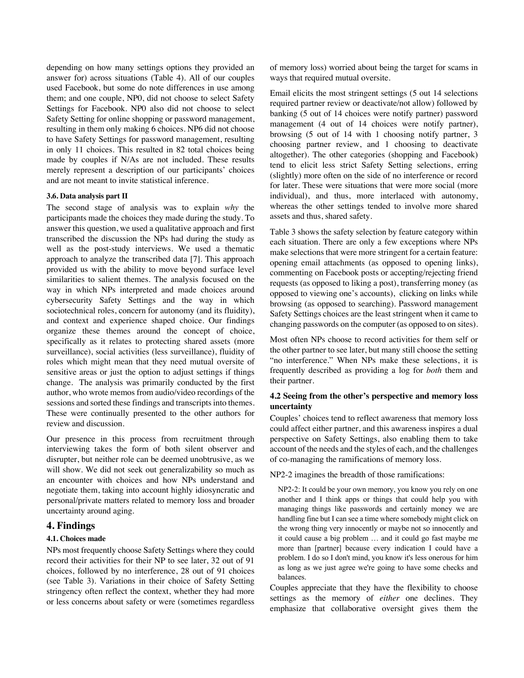depending on how many settings options they provided an answer for) across situations (Table 4). All of our couples used Facebook, but some do note differences in use among them; and one couple, NP0, did not choose to select Safety Settings for Facebook. NP0 also did not choose to select Safety Setting for online shopping or password management, resulting in them only making 6 choices. NP6 did not choose to have Safety Settings for password management, resulting in only 11 choices. This resulted in 82 total choices being made by couples if N/As are not included. These results merely represent a description of our participants' choices and are not meant to invite statistical inference.

#### **3.6. Data analysis part II**

The second stage of analysis was to explain *why* the participants made the choices they made during the study. To answer this question, we used a qualitative approach and first transcribed the discussion the NPs had during the study as well as the post-study interviews. We used a thematic approach to analyze the transcribed data [7]. This approach provided us with the ability to move beyond surface level similarities to salient themes. The analysis focused on the way in which NPs interpreted and made choices around cybersecurity Safety Settings and the way in which sociotechnical roles, concern for autonomy (and its fluidity), and context and experience shaped choice. Our findings organize these themes around the concept of choice, specifically as it relates to protecting shared assets (more surveillance), social activities (less surveillance), fluidity of roles which might mean that they need mutual oversite of sensitive areas or just the option to adjust settings if things change. The analysis was primarily conducted by the first author, who wrote memos from audio/video recordings of the sessions and sorted these findings and transcripts into themes. These were continually presented to the other authors for review and discussion.

Our presence in this process from recruitment through interviewing takes the form of both silent observer and disrupter, but neither role can be deemed unobtrusive, as we will show. We did not seek out generalizability so much as an encounter with choices and how NPs understand and negotiate them, taking into account highly idiosyncratic and personal/private matters related to memory loss and broader uncertainty around aging.

### **4. Findings**

#### **4.1. Choices made**

NPs most frequently choose Safety Settings where they could record their activities for their NP to see later, 32 out of 91 choices, followed by no interference, 28 out of 91 choices (see Table 3). Variations in their choice of Safety Setting stringency often reflect the context, whether they had more or less concerns about safety or were (sometimes regardless

of memory loss) worried about being the target for scams in ways that required mutual oversite.

Email elicits the most stringent settings (5 out 14 selections required partner review or deactivate/not allow) followed by banking (5 out of 14 choices were notify partner) password management (4 out of 14 choices were notify partner), browsing (5 out of 14 with 1 choosing notify partner, 3 choosing partner review, and 1 choosing to deactivate altogether). The other categories (shopping and Facebook) tend to elicit less strict Safety Setting selections, erring (slightly) more often on the side of no interference or record for later. These were situations that were more social (more individual), and thus, more interlaced with autonomy, whereas the other settings tended to involve more shared assets and thus, shared safety.

Table 3 shows the safety selection by feature category within each situation. There are only a few exceptions where NPs make selections that were more stringent for a certain feature: opening email attachments (as opposed to opening links), commenting on Facebook posts or accepting/rejecting friend requests (as opposed to liking a post), transferring money (as opposed to viewing one's accounts), clicking on links while browsing (as opposed to searching). Password management Safety Settings choices are the least stringent when it came to changing passwords on the computer (as opposed to on sites).

Most often NPs choose to record activities for them self or the other partner to see later, but many still choose the setting "no interference." When NPs make these selections, it is frequently described as providing a log for *both* them and their partner.

## **4.2 Seeing from the other's perspective and memory loss uncertainty**

Couples' choices tend to reflect awareness that memory loss could affect either partner, and this awareness inspires a dual perspective on Safety Settings, also enabling them to take account of the needs and the styles of each, and the challenges of co-managing the ramifications of memory loss.

NP2-2 imagines the breadth of those ramifications:

NP2-2: It could be your own memory, you know you rely on one another and I think apps or things that could help you with managing things like passwords and certainly money we are handling fine but I can see a time where somebody might click on the wrong thing very innocently or maybe not so innocently and it could cause a big problem … and it could go fast maybe me more than [partner] because every indication I could have a problem. I do so I don't mind, you know it's less onerous for him as long as we just agree we're going to have some checks and balances.

Couples appreciate that they have the flexibility to choose settings as the memory of *either* one declines. They emphasize that collaborative oversight gives them the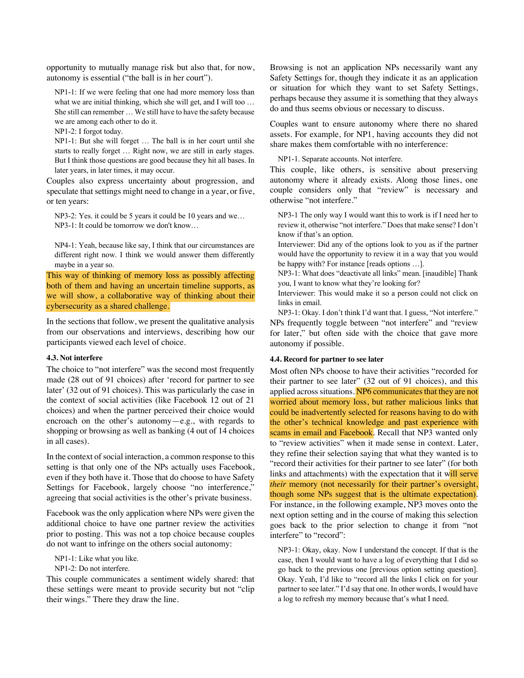opportunity to mutually manage risk but also that, for now, autonomy is essential ("the ball is in her court").

NP1-1: If we were feeling that one had more memory loss than what we are initial thinking, which she will get, and I will too ... She still can remember … We still have to have the safety because we are among each other to do it.

NP1-2: I forgot today.

NP1-1: But she will forget … The ball is in her court until she starts to really forget … Right now, we are still in early stages. But I think those questions are good because they hit all bases. In later years, in later times, it may occur.

Couples also express uncertainty about progression, and speculate that settings might need to change in a year, or five, or ten years:

NP3-2: Yes. it could be 5 years it could be 10 years and we… NP3-1: It could be tomorrow we don't know…

NP4-1: Yeah, because like say, I think that our circumstances are different right now. I think we would answer them differently maybe in a year so.

This way of thinking of memory loss as possibly affecting both of them and having an uncertain timeline supports, as we will show, a collaborative way of thinking about their cybersecurity as a shared challenge.

In the sections that follow, we present the qualitative analysis from our observations and interviews, describing how our participants viewed each level of choice.

#### **4.3. Not interfere**

The choice to "not interfere" was the second most frequently made (28 out of 91 choices) after 'record for partner to see later' (32 out of 91 choices). This was particularly the case in the context of social activities (like Facebook 12 out of 21 choices) and when the partner perceived their choice would encroach on the other's autonomy—e.g., with regards to shopping or browsing as well as banking (4 out of 14 choices in all cases).

In the context of social interaction, a common response to this setting is that only one of the NPs actually uses Facebook, even if they both have it. Those that do choose to have Safety Settings for Facebook, largely choose "no interference," agreeing that social activities is the other's private business.

Facebook was the only application where NPs were given the additional choice to have one partner review the activities prior to posting. This was not a top choice because couples do not want to infringe on the others social autonomy:

NP1-1: Like what you like.

NP1-2: Do not interfere.

This couple communicates a sentiment widely shared: that these settings were meant to provide security but not "clip their wings." There they draw the line.

Browsing is not an application NPs necessarily want any Safety Settings for, though they indicate it as an application or situation for which they want to set Safety Settings, perhaps because they assume it is something that they always do and thus seems obvious or necessary to discuss.

Couples want to ensure autonomy where there no shared assets. For example, for NP1, having accounts they did not share makes them comfortable with no interference:

NP1-1. Separate accounts. Not interfere.

This couple, like others, is sensitive about preserving autonomy where it already exists. Along those lines, one couple considers only that "review" is necessary and otherwise "not interfere."

NP3-1 The only way I would want this to work is if I need her to review it, otherwise "not interfere." Does that make sense? I don't know if that's an option.

Interviewer: Did any of the options look to you as if the partner would have the opportunity to review it in a way that you would be happy with? For instance [reads options …].

NP3-1: What does "deactivate all links" mean. [inaudible] Thank you, I want to know what they're looking for?

Interviewer: This would make it so a person could not click on links in email.

NP3-1: Okay. I don't think I'd want that. I guess, "Not interfere." NPs frequently toggle between "not interfere" and "review for later," but often side with the choice that gave more autonomy if possible.

### **4.4. Record for partner to see later**

Most often NPs choose to have their activities "recorded for their partner to see later" (32 out of 91 choices), and this applied across situations. NP6 communicates that they are not worried about memory loss, but rather malicious links that could be inadvertently selected for reasons having to do with the other's technical knowledge and past experience with scams in email and Facebook. Recall that NP3 wanted only to "review activities" when it made sense in context. Later, they refine their selection saying that what they wanted is to "record their activities for their partner to see later" (for both links and attachments) with the expectation that it will serve *their* memory (not necessarily for their partner's oversight, though some NPs suggest that is the ultimate expectation). For instance, in the following example, NP3 moves onto the next option setting and in the course of making this selection goes back to the prior selection to change it from "not interfere" to "record":

NP3-1: Okay, okay. Now I understand the concept. If that is the case, then I would want to have a log of everything that I did so go back to the previous one [previous option setting question]. Okay. Yeah, I'd like to "record all the links I click on for your partner to see later." I'd say that one. In other words, I would have a log to refresh my memory because that's what I need.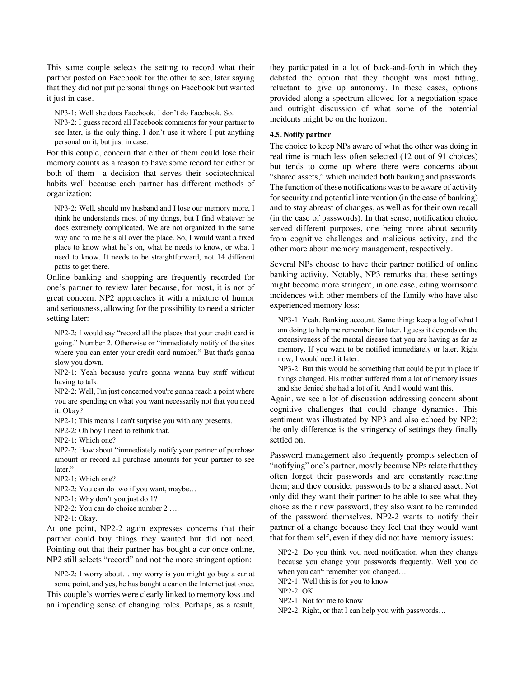This same couple selects the setting to record what their partner posted on Facebook for the other to see, later saying that they did not put personal things on Facebook but wanted it just in case.

NP3-1: Well she does Facebook. I don't do Facebook. So.

NP3-2: I guess record all Facebook comments for your partner to see later, is the only thing. I don't use it where I put anything personal on it, but just in case.

For this couple, concern that either of them could lose their memory counts as a reason to have some record for either or both of them—a decision that serves their sociotechnical habits well because each partner has different methods of organization:

NP3-2: Well, should my husband and I lose our memory more, I think he understands most of my things, but I find whatever he does extremely complicated. We are not organized in the same way and to me he's all over the place. So, I would want a fixed place to know what he's on, what he needs to know, or what I need to know. It needs to be straightforward, not 14 different paths to get there.

Online banking and shopping are frequently recorded for one's partner to review later because, for most, it is not of great concern. NP2 approaches it with a mixture of humor and seriousness, allowing for the possibility to need a stricter setting later:

NP2-2: I would say "record all the places that your credit card is going." Number 2. Otherwise or "immediately notify of the sites where you can enter your credit card number." But that's gonna slow you down.

NP2-1: Yeah because you're gonna wanna buy stuff without having to talk.

NP2-2: Well, I'm just concerned you're gonna reach a point where you are spending on what you want necessarily not that you need it. Okay?

NP2-1: This means I can't surprise you with any presents.

NP2-2: Oh boy I need to rethink that.

NP2-1: Which one?

NP2-2: How about "immediately notify your partner of purchase amount or record all purchase amounts for your partner to see later."

NP2-1: Which one?

NP2-2: You can do two if you want, maybe…

NP2-1: Why don't you just do 1?

NP2-2: You can do choice number 2 ….

NP2-1: Okay.

At one point, NP2-2 again expresses concerns that their partner could buy things they wanted but did not need. Pointing out that their partner has bought a car once online, NP2 still selects "record" and not the more stringent option:

NP2-2: I worry about… my worry is you might go buy a car at some point, and yes, he has bought a car on the Internet just once. This couple's worries were clearly linked to memory loss and an impending sense of changing roles. Perhaps, as a result,

they participated in a lot of back-and-forth in which they debated the option that they thought was most fitting, reluctant to give up autonomy. In these cases, options provided along a spectrum allowed for a negotiation space and outright discussion of what some of the potential incidents might be on the horizon.

#### **4.5. Notify partner**

The choice to keep NPs aware of what the other was doing in real time is much less often selected (12 out of 91 choices) but tends to come up where there were concerns about "shared assets," which included both banking and passwords. The function of these notifications was to be aware of activity for security and potential intervention (in the case of banking) and to stay abreast of changes, as well as for their own recall (in the case of passwords). In that sense, notification choice served different purposes, one being more about security from cognitive challenges and malicious activity, and the other more about memory management, respectively.

Several NPs choose to have their partner notified of online banking activity. Notably, NP3 remarks that these settings might become more stringent, in one case, citing worrisome incidences with other members of the family who have also experienced memory loss:

NP3-1: Yeah. Banking account. Same thing: keep a log of what I am doing to help me remember for later. I guess it depends on the extensiveness of the mental disease that you are having as far as memory. If you want to be notified immediately or later. Right now, I would need it later.

NP3-2: But this would be something that could be put in place if things changed. His mother suffered from a lot of memory issues and she denied she had a lot of it. And I would want this.

Again, we see a lot of discussion addressing concern about cognitive challenges that could change dynamics. This sentiment was illustrated by NP3 and also echoed by NP2; the only difference is the stringency of settings they finally settled on.

Password management also frequently prompts selection of "notifying" one's partner, mostly because NPs relate that they often forget their passwords and are constantly resetting them; and they consider passwords to be a shared asset. Not only did they want their partner to be able to see what they chose as their new password, they also want to be reminded of the password themselves. NP2-2 wants to notify their partner of a change because they feel that they would want that for them self, even if they did not have memory issues:

NP2-2: Do you think you need notification when they change because you change your passwords frequently. Well you do when you can't remember you changed…

NP2-1: Well this is for you to know

NP2-2: OK

NP2-1: Not for me to know

NP2-2: Right, or that I can help you with passwords…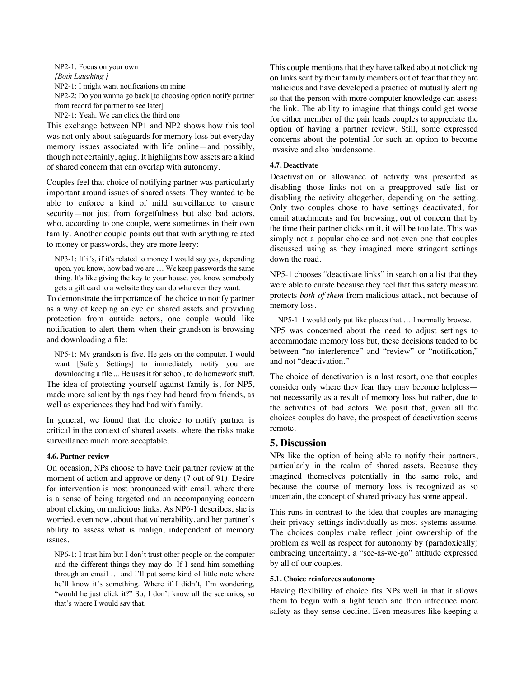NP2-1: Focus on your own *[Both Laughing ]* NP2-1: I might want notifications on mine NP2-2: Do you wanna go back [to choosing option notify partner from record for partner to see later] NP2-1: Yeah. We can click the third one

This exchange between NP1 and NP2 shows how this tool was not only about safeguards for memory loss but everyday memory issues associated with life online—and possibly, though not certainly, aging. It highlights how assets are a kind of shared concern that can overlap with autonomy.

Couples feel that choice of notifying partner was particularly important around issues of shared assets. They wanted to be able to enforce a kind of mild surveillance to ensure security—not just from forgetfulness but also bad actors, who, according to one couple, were sometimes in their own family. Another couple points out that with anything related to money or passwords, they are more leery:

NP3-1: If it's, if it's related to money I would say yes, depending upon, you know, how bad we are … We keep passwords the same thing. It's like giving the key to your house. you know somebody gets a gift card to a website they can do whatever they want.

To demonstrate the importance of the choice to notify partner as a way of keeping an eye on shared assets and providing protection from outside actors, one couple would like notification to alert them when their grandson is browsing and downloading a file:

NP5-1: My grandson is five. He gets on the computer. I would want [Safety Settings] to immediately notify you are downloading a file ... He uses it for school, to do homework stuff. The idea of protecting yourself against family is, for NP5, made more salient by things they had heard from friends, as well as experiences they had had with family.

In general, we found that the choice to notify partner is critical in the context of shared assets, where the risks make surveillance much more acceptable.

### **4.6. Partner review**

On occasion, NPs choose to have their partner review at the moment of action and approve or deny (7 out of 91). Desire for intervention is most pronounced with email, where there is a sense of being targeted and an accompanying concern about clicking on malicious links. As NP6-1 describes, she is worried, even now, about that vulnerability, and her partner's ability to assess what is malign, independent of memory issues.

NP6-1: I trust him but I don't trust other people on the computer and the different things they may do. If I send him something through an email … and I'll put some kind of little note where he'll know it's something. Where if I didn't, I'm wondering, "would he just click it?" So, I don't know all the scenarios, so that's where I would say that.

This couple mentions that they have talked about not clicking on links sent by their family members out of fear that they are malicious and have developed a practice of mutually alerting so that the person with more computer knowledge can assess the link. The ability to imagine that things could get worse for either member of the pair leads couples to appreciate the option of having a partner review. Still, some expressed concerns about the potential for such an option to become invasive and also burdensome.

### **4.7. Deactivate**

Deactivation or allowance of activity was presented as disabling those links not on a preapproved safe list or disabling the activity altogether, depending on the setting. Only two couples chose to have settings deactivated, for email attachments and for browsing, out of concern that by the time their partner clicks on it, it will be too late. This was simply not a popular choice and not even one that couples discussed using as they imagined more stringent settings down the road.

NP5-1 chooses "deactivate links" in search on a list that they were able to curate because they feel that this safety measure protects *both of them* from malicious attack, not because of memory loss.

NP5-1: I would only put like places that … I normally browse. NP5 was concerned about the need to adjust settings to accommodate memory loss but, these decisions tended to be between "no interference" and "review" or "notification," and not "deactivation."

The choice of deactivation is a last resort, one that couples consider only where they fear they may become helpless not necessarily as a result of memory loss but rather, due to the activities of bad actors. We posit that, given all the choices couples do have, the prospect of deactivation seems remote.

### **5. Discussion**

NPs like the option of being able to notify their partners, particularly in the realm of shared assets. Because they imagined themselves potentially in the same role, and because the course of memory loss is recognized as so uncertain, the concept of shared privacy has some appeal.

This runs in contrast to the idea that couples are managing their privacy settings individually as most systems assume. The choices couples make reflect joint ownership of the problem as well as respect for autonomy by (paradoxically) embracing uncertainty, a "see-as-we-go" attitude expressed by all of our couples.

### **5.1. Choice reinforces autonomy**

Having flexibility of choice fits NPs well in that it allows them to begin with a light touch and then introduce more safety as they sense decline. Even measures like keeping a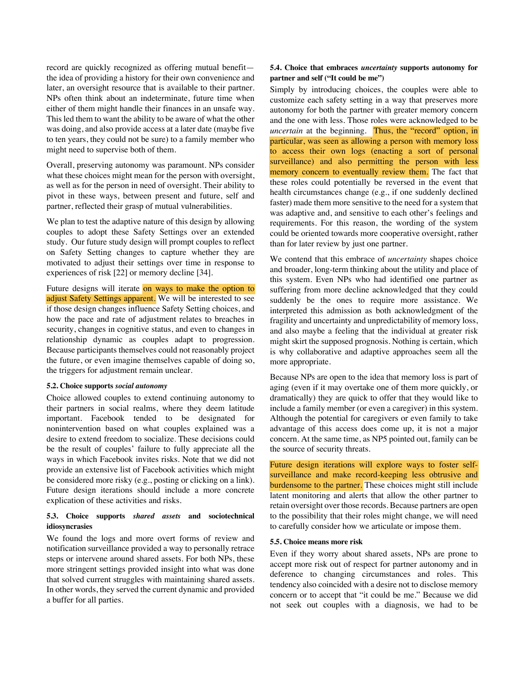record are quickly recognized as offering mutual benefit the idea of providing a history for their own convenience and later, an oversight resource that is available to their partner. NPs often think about an indeterminate, future time when either of them might handle their finances in an unsafe way. This led them to want the ability to be aware of what the other was doing, and also provide access at a later date (maybe five to ten years, they could not be sure) to a family member who might need to supervise both of them.

Overall, preserving autonomy was paramount. NPs consider what these choices might mean for the person with oversight, as well as for the person in need of oversight. Their ability to pivot in these ways, between present and future, self and partner, reflected their grasp of mutual vulnerabilities.

We plan to test the adaptive nature of this design by allowing couples to adopt these Safety Settings over an extended study. Our future study design will prompt couples to reflect on Safety Setting changes to capture whether they are motivated to adjust their settings over time in response to experiences of risk [22] or memory decline [34].

Future designs will iterate on ways to make the option to adjust Safety Settings apparent. We will be interested to see if those design changes influence Safety Setting choices, and how the pace and rate of adjustment relates to breaches in security, changes in cognitive status, and even to changes in relationship dynamic as couples adapt to progression. Because participants themselves could not reasonably project the future, or even imagine themselves capable of doing so, the triggers for adjustment remain unclear.

#### **5.2. Choice supports** *social autonomy*

Choice allowed couples to extend continuing autonomy to their partners in social realms, where they deem latitude important. Facebook tended to be designated for nonintervention based on what couples explained was a desire to extend freedom to socialize. These decisions could be the result of couples' failure to fully appreciate all the ways in which Facebook invites risks. Note that we did not provide an extensive list of Facebook activities which might be considered more risky (e.g., posting or clicking on a link). Future design iterations should include a more concrete explication of these activities and risks.

### **5.3. Choice supports** *shared assets* **and sociotechnical idiosyncrasies**

We found the logs and more overt forms of review and notification surveillance provided a way to personally retrace steps or intervene around shared assets. For both NPs, these more stringent settings provided insight into what was done that solved current struggles with maintaining shared assets. In other words, they served the current dynamic and provided a buffer for all parties.

### **5.4. Choice that embraces** *uncertainty* **supports autonomy for partner and self ("It could be me")**

Simply by introducing choices, the couples were able to customize each safety setting in a way that preserves more autonomy for both the partner with greater memory concern and the one with less. Those roles were acknowledged to be *uncertain* at the beginning. Thus, the "record" option, in particular, was seen as allowing a person with memory loss to access their own logs (enacting a sort of personal surveillance) and also permitting the person with less memory concern to eventually review them. The fact that these roles could potentially be reversed in the event that health circumstances change (e.g., if one suddenly declined faster) made them more sensitive to the need for a system that was adaptive and, and sensitive to each other's feelings and requirements. For this reason, the wording of the system could be oriented towards more cooperative oversight, rather than for later review by just one partner.

We contend that this embrace of *uncertainty* shapes choice and broader, long-term thinking about the utility and place of this system. Even NPs who had identified one partner as suffering from more decline acknowledged that they could suddenly be the ones to require more assistance. We interpreted this admission as both acknowledgment of the fragility and uncertainty and unpredictability of memory loss, and also maybe a feeling that the individual at greater risk might skirt the supposed prognosis. Nothing is certain, which is why collaborative and adaptive approaches seem all the more appropriate.

Because NPs are open to the idea that memory loss is part of aging (even if it may overtake one of them more quickly, or dramatically) they are quick to offer that they would like to include a family member (or even a caregiver) in this system. Although the potential for caregivers or even family to take advantage of this access does come up, it is not a major concern. At the same time, as NP5 pointed out, family can be the source of security threats.

Future design iterations will explore ways to foster selfsurveillance and make record-keeping less obtrusive and burdensome to the partner. These choices might still include latent monitoring and alerts that allow the other partner to retain oversight over those records. Because partners are open to the possibility that their roles might change, we will need to carefully consider how we articulate or impose them.

#### **5.5. Choice means more risk**

Even if they worry about shared assets, NPs are prone to accept more risk out of respect for partner autonomy and in deference to changing circumstances and roles. This tendency also coincided with a desire not to disclose memory concern or to accept that "it could be me." Because we did not seek out couples with a diagnosis, we had to be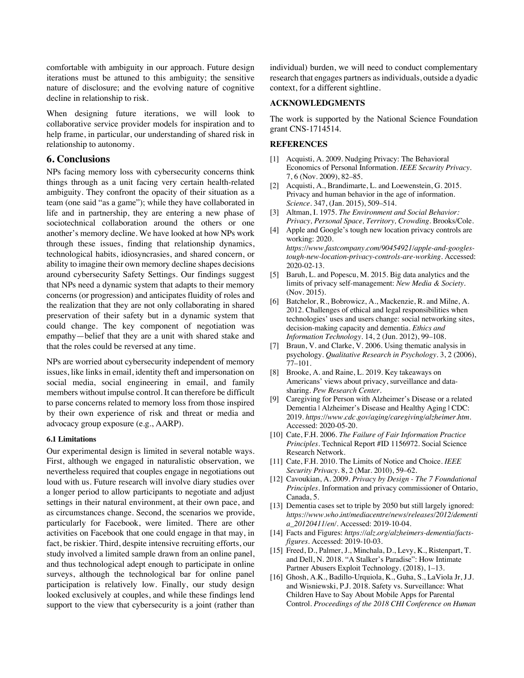comfortable with ambiguity in our approach. Future design iterations must be attuned to this ambiguity; the sensitive nature of disclosure; and the evolving nature of cognitive decline in relationship to risk.

When designing future iterations, we will look to collaborative service provider models for inspiration and to help frame, in particular, our understanding of shared risk in relationship to autonomy.

# **6. Conclusions**

NPs facing memory loss with cybersecurity concerns think things through as a unit facing very certain health-related ambiguity. They confront the opacity of their situation as a team (one said "as a game"); while they have collaborated in life and in partnership, they are entering a new phase of sociotechnical collaboration around the others or one another's memory decline. We have looked at how NPs work through these issues, finding that relationship dynamics, technological habits, idiosyncrasies, and shared concern, or ability to imagine their own memory decline shapes decisions around cybersecurity Safety Settings. Our findings suggest that NPs need a dynamic system that adapts to their memory concerns (or progression) and anticipates fluidity of roles and the realization that they are not only collaborating in shared preservation of their safety but in a dynamic system that could change. The key component of negotiation was empathy—belief that they are a unit with shared stake and that the roles could be reversed at any time.

NPs are worried about cybersecurity independent of memory issues, like links in email, identity theft and impersonation on social media, social engineering in email, and family members without impulse control. It can therefore be difficult to parse concerns related to memory loss from those inspired by their own experience of risk and threat or media and advocacy group exposure (e.g., AARP).

### **6.1 Limitations**

Our experimental design is limited in several notable ways. First, although we engaged in naturalistic observation, we nevertheless required that couples engage in negotiations out loud with us. Future research will involve diary studies over a longer period to allow participants to negotiate and adjust settings in their natural environment, at their own pace, and as circumstances change. Second, the scenarios we provide, particularly for Facebook, were limited. There are other activities on Facebook that one could engage in that may, in fact, be riskier. Third, despite intensive recruiting efforts, our study involved a limited sample drawn from an online panel, and thus technological adept enough to participate in online surveys, although the technological bar for online panel participation is relatively low. Finally, our study design looked exclusively at couples, and while these findings lend support to the view that cybersecurity is a joint (rather than

individual) burden, we will need to conduct complementary research that engages partners as individuals, outside a dyadic context, for a different sightline.

### **ACKNOWLEDGMENTS**

The work is supported by the National Science Foundation grant CNS-1714514.

#### **REFERENCES**

- [1] Acquisti, A. 2009. Nudging Privacy: The Behavioral Economics of Personal Information. *IEEE Security Privacy*. 7, 6 (Nov. 2009), 82–85.
- [2] Acquisti, A., Brandimarte, L. and Loewenstein, G. 2015. Privacy and human behavior in the age of information. *Science*. 347, (Jan. 2015), 509–514.
- [3] Altman, I. 1975. *The Environment and Social Behavior: Privacy, Personal Space, Territory, Crowding*. Brooks/Cole.
- [4] Apple and Google's tough new location privacy controls are working: 2020. *https://www.fastcompany.com/90454921/apple-and-googlestough-new-location-privacy-controls-are-working*. Accessed: 2020-02-13.
- [5] Baruh, L. and Popescu, M. 2015. Big data analytics and the limits of privacy self-management: *New Media & Society*. (Nov. 2015).
- [6] Batchelor, R., Bobrowicz, A., Mackenzie, R. and Milne, A. 2012. Challenges of ethical and legal responsibilities when technologies' uses and users change: social networking sites, decision-making capacity and dementia. *Ethics and Information Technology*. 14, 2 (Jun. 2012), 99–108.
- [7] Braun, V. and Clarke, V. 2006. Using thematic analysis in psychology. *Qualitative Research in Psychology*. 3, 2 (2006), 77–101.
- [8] Brooke, A. and Raine, L. 2019. Key takeaways on Americans' views about privacy, surveillance and datasharing. *Pew Research Center*.
- [9] Caregiving for Person with Alzheimer's Disease or a related Dementia | Alzheimer's Disease and Healthy Aging | CDC: 2019. *https://www.cdc.gov/aging/caregiving/alzheimer.htm*. Accessed: 2020-05-20.
- [10] Cate, F.H. 2006. *The Failure of Fair Information Practice Principles*. Technical Report #ID 1156972. Social Science Research Network.
- [11] Cate, F.H. 2010. The Limits of Notice and Choice. *IEEE Security Privacy*. 8, 2 (Mar. 2010), 59–62.
- [12] Cavoukian, A. 2009. *Privacy by Design - The 7 Foundational Principles*. Information and privacy commissioner of Ontario, Canada, 5.
- [13] Dementia cases set to triple by 2050 but still largely ignored: *https://www.who.int/mediacentre/news/releases/2012/dementi a\_20120411/en/*. Accessed: 2019-10-04.
- [14] Facts and Figures: *https://alz.org/alzheimers-dementia/factsfigures*. Accessed: 2019-10-03.
- [15] Freed, D., Palmer, J., Minchala, D., Levy, K., Ristenpart, T. and Dell, N. 2018. "A Stalker's Paradise": How Intimate Partner Abusers Exploit Technology. (2018), 1–13.
- [16] Ghosh, A.K., Badillo-Urquiola, K., Guha, S., LaViola Jr, J.J. and Wisniewski, P.J. 2018. Safety vs. Surveillance: What Children Have to Say About Mobile Apps for Parental Control. *Proceedings of the 2018 CHI Conference on Human*